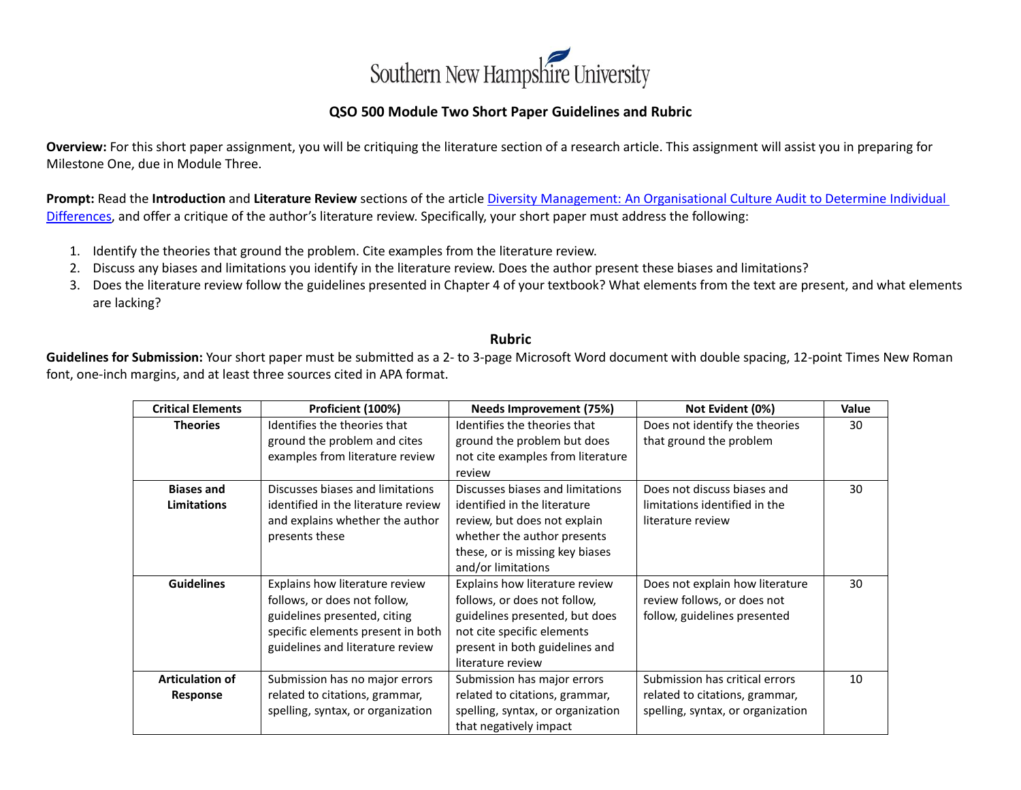

## **QSO 500 Module Two Short Paper Guidelines and Rubric**

**Overview:** For this short paper assignment, you will be critiquing the literature section of a research article. This assignment will assist you in preparing for Milestone One, due in Module Three.

**Prompt:** Read the **Introduction** and **Literature Review** sections of the article Diversity Management: [An Organisational Culture Audit to Determine Individual](http://search.proquest.com.ezproxy.snhu.edu/docview/1777990739?accountid=3783)  [Differences,](http://search.proquest.com.ezproxy.snhu.edu/docview/1777990739?accountid=3783) and offer a critique of the author's literature review. Specifically, your short paper must address the following:

- 1. Identify the theories that ground the problem. Cite examples from the literature review.
- 2. Discuss any biases and limitations you identify in the literature review. Does the author present these biases and limitations?
- 3. Does the literature review follow the guidelines presented in Chapter 4 of your textbook? What elements from the text are present, and what elements are lacking?

## **Rubric**

**Guidelines for Submission:** Your short paper must be submitted as a 2- to 3-page Microsoft Word document with double spacing, 12-point Times New Roman font, one-inch margins, and at least three sources cited in APA format.

| <b>Critical Elements</b> | Proficient (100%)                   | Needs Improvement (75%)           | Not Evident (0%)                  | <b>Value</b> |
|--------------------------|-------------------------------------|-----------------------------------|-----------------------------------|--------------|
| <b>Theories</b>          | Identifies the theories that        | Identifies the theories that      | Does not identify the theories    | 30           |
|                          | ground the problem and cites        | ground the problem but does       | that ground the problem           |              |
|                          | examples from literature review     | not cite examples from literature |                                   |              |
|                          |                                     | review                            |                                   |              |
| <b>Biases and</b>        | Discusses biases and limitations    | Discusses biases and limitations  | Does not discuss biases and       | 30           |
| <b>Limitations</b>       | identified in the literature review | identified in the literature      | limitations identified in the     |              |
|                          | and explains whether the author     | review, but does not explain      | literature review                 |              |
|                          | presents these                      | whether the author presents       |                                   |              |
|                          |                                     | these, or is missing key biases   |                                   |              |
|                          |                                     | and/or limitations                |                                   |              |
| <b>Guidelines</b>        | Explains how literature review      | Explains how literature review    | Does not explain how literature   | 30           |
|                          | follows, or does not follow,        | follows, or does not follow,      | review follows, or does not       |              |
|                          | guidelines presented, citing        | guidelines presented, but does    | follow, guidelines presented      |              |
|                          | specific elements present in both   | not cite specific elements        |                                   |              |
|                          | guidelines and literature review    | present in both guidelines and    |                                   |              |
|                          |                                     | literature review                 |                                   |              |
| <b>Articulation of</b>   | Submission has no major errors      | Submission has major errors       | Submission has critical errors    | 10           |
| Response                 | related to citations, grammar,      | related to citations, grammar,    | related to citations, grammar,    |              |
|                          | spelling, syntax, or organization   | spelling, syntax, or organization | spelling, syntax, or organization |              |
|                          |                                     | that negatively impact            |                                   |              |